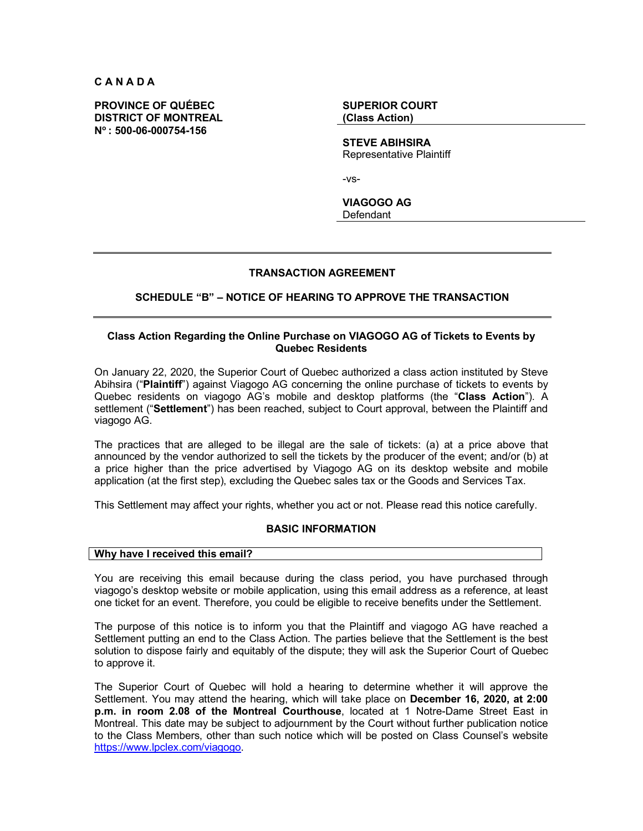**C A N A D A**

**PROVINCE OF QUÉBEC DISTRICT OF MONTREAL No : 500-06-000754-156**

**SUPERIOR COURT (Class Action)**

**STEVE ABIHSIRA** Representative Plaintiff

-vs-

**VIAGOGO AG** Defendant

## **TRANSACTION AGREEMENT**

# **SCHEDULE "B" – NOTICE OF HEARING TO APPROVE THE TRANSACTION**

## **Class Action Regarding the Online Purchase on VIAGOGO AG of Tickets to Events by Quebec Residents**

On January 22, 2020, the Superior Court of Quebec authorized a class action instituted by Steve Abihsira ("**Plaintiff**") against Viagogo AG concerning the online purchase of tickets to events by Quebec residents on viagogo AG's mobile and desktop platforms (the "**Class Action**"). A settlement ("**Settlement**") has been reached, subject to Court approval, between the Plaintiff and viagogo AG.

The practices that are alleged to be illegal are the sale of tickets: (a) at a price above that announced by the vendor authorized to sell the tickets by the producer of the event; and/or (b) at a price higher than the price advertised by Viagogo AG on its desktop website and mobile application (at the first step), excluding the Quebec sales tax or the Goods and Services Tax.

This Settlement may affect your rights, whether you act or not. Please read this notice carefully.

## **BASIC INFORMATION**

### **Why have I received this email?**

You are receiving this email because during the class period, you have purchased through viagogo's desktop website or mobile application, using this email address as a reference, at least one ticket for an event. Therefore, you could be eligible to receive benefits under the Settlement.

The purpose of this notice is to inform you that the Plaintiff and viagogo AG have reached a Settlement putting an end to the Class Action. The parties believe that the Settlement is the best solution to dispose fairly and equitably of the dispute; they will ask the Superior Court of Quebec to approve it.

The Superior Court of Quebec will hold a hearing to determine whether it will approve the Settlement. You may attend the hearing, which will take place on **December 16, 2020, at 2:00 p.m. in room 2.08 of the Montreal Courthouse**, located at 1 Notre-Dame Street East in Montreal. This date may be subject to adjournment by the Court without further publication notice to the Class Members, other than such notice which will be posted on Class Counsel's website https://www.lpclex.com/viagogo.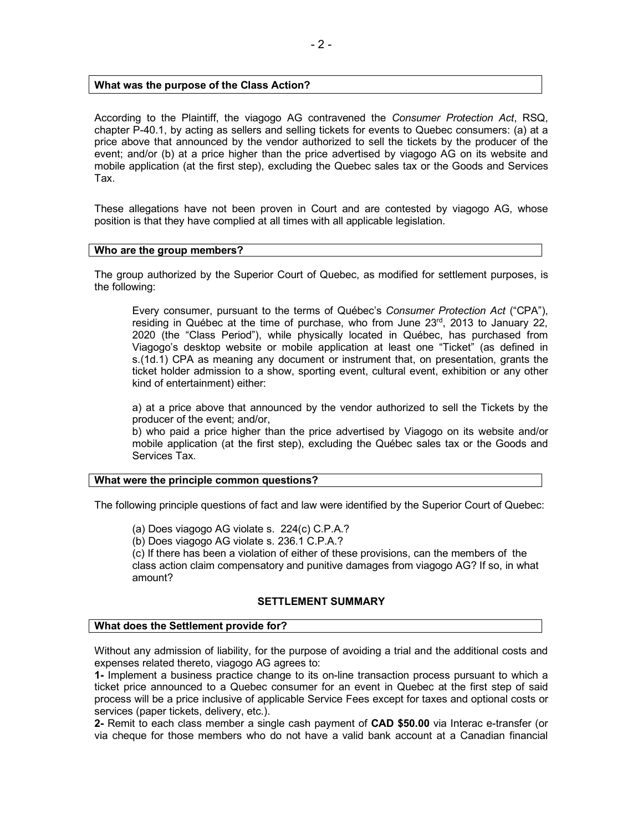## **What was the purpose of the Class Action?**

According to the Plaintiff, the viagogo AG contravened the *Consumer Protection Act*, RSQ, chapter P-40.1, by acting as sellers and selling tickets for events to Quebec consumers: (a) at a price above that announced by the vendor authorized to sell the tickets by the producer of the event; and/or (b) at a price higher than the price advertised by viagogo AG on its website and mobile application (at the first step), excluding the Quebec sales tax or the Goods and Services Tax.

These allegations have not been proven in Court and are contested by viagogo AG, whose position is that they have complied at all times with all applicable legislation.

### **Who are the group members?**

The group authorized by the Superior Court of Quebec, as modified for settlement purposes, is the following:

Every consumer, pursuant to the terms of Québec's *Consumer Protection Act* ("CPA"), residing in Québec at the time of purchase, who from June 23rd, 2013 to January 22, 2020 (the "Class Period"), while physically located in Québec, has purchased from Viagogo's desktop website or mobile application at least one "Ticket" (as defined in s.(1d.1) CPA as meaning any document or instrument that, on presentation, grants the ticket holder admission to a show, sporting event, cultural event, exhibition or any other kind of entertainment) either:

a) at a price above that announced by the vendor authorized to sell the Tickets by the producer of the event; and/or,

b) who paid a price higher than the price advertised by Viagogo on its website and/or mobile application (at the first step), excluding the Québec sales tax or the Goods and Services Tax.

## **What were the principle common questions?**

The following principle questions of fact and law were identified by the Superior Court of Quebec:

(a) Does viagogo AG violate s. 224(c) C.P.A.?

(b) Does viagogo AG violate s. 236.1 C.P.A.?

(c) If there has been a violation of either of these provisions, can the members of the class action claim compensatory and punitive damages from viagogo AG? If so, in what amount?

## **SETTLEMENT SUMMARY**

### **What does the Settlement provide for?**

Without any admission of liability, for the purpose of avoiding a trial and the additional costs and expenses related thereto, viagogo AG agrees to:

**1-** Implement a business practice change to its on-line transaction process pursuant to which a ticket price announced to a Quebec consumer for an event in Quebec at the first step of said process will be a price inclusive of applicable Service Fees except for taxes and optional costs or services (paper tickets, delivery, etc.).

**2-** Remit to each class member a single cash payment of **CAD \$50.00** via Interac e-transfer (or via cheque for those members who do not have a valid bank account at a Canadian financial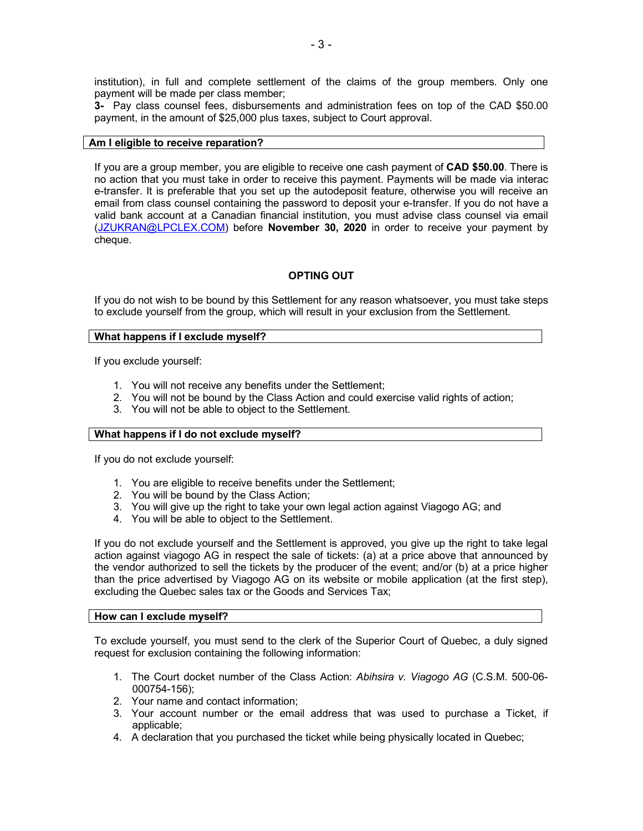**3-** Pay class counsel fees, disbursements and administration fees on top of the CAD \$50.00 payment, in the amount of \$25,000 plus taxes, subject to Court approval.

### **Am I eligible to receive reparation?**

If you are a group member, you are eligible to receive one cash payment of **CAD \$50.00**. There is no action that you must take in order to receive this payment. Payments will be made via interac e-transfer. It is preferable that you set up the autodeposit feature, otherwise you will receive an email from class counsel containing the password to deposit your e-transfer. If you do not have a valid bank account at a Canadian financial institution, you must advise class counsel via email (JZUKRAN@LPCLEX.COM) before **November 30, 2020** in order to receive your payment by cheque.

# **OPTING OUT**

If you do not wish to be bound by this Settlement for any reason whatsoever, you must take steps to exclude yourself from the group, which will result in your exclusion from the Settlement.

## **What happens if I exclude myself?**

If you exclude yourself:

- 1. You will not receive any benefits under the Settlement;
- 2. You will not be bound by the Class Action and could exercise valid rights of action;
- 3. You will not be able to object to the Settlement.

## **What happens if I do not exclude myself?**

If you do not exclude yourself:

- 1. You are eligible to receive benefits under the Settlement;
- 2. You will be bound by the Class Action;
- 3. You will give up the right to take your own legal action against Viagogo AG; and
- 4. You will be able to object to the Settlement.

If you do not exclude yourself and the Settlement is approved, you give up the right to take legal action against viagogo AG in respect the sale of tickets: (a) at a price above that announced by the vendor authorized to sell the tickets by the producer of the event; and/or (b) at a price higher than the price advertised by Viagogo AG on its website or mobile application (at the first step), excluding the Quebec sales tax or the Goods and Services Tax;

## **How can I exclude myself?**

To exclude yourself, you must send to the clerk of the Superior Court of Quebec, a duly signed request for exclusion containing the following information:

- 1. The Court docket number of the Class Action: *Abihsira v. Viagogo AG* (C.S.M. 500-06- 000754-156);
- 2. Your name and contact information;
- 3. Your account number or the email address that was used to purchase a Ticket, if applicable;
- 4. A declaration that you purchased the ticket while being physically located in Quebec;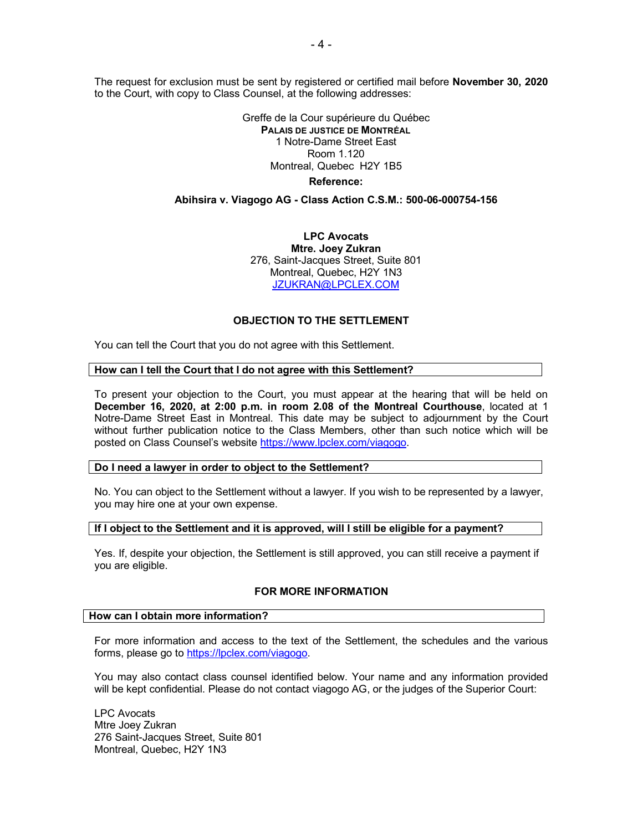The request for exclusion must be sent by registered or certified mail before **November 30, 2020** to the Court, with copy to Class Counsel, at the following addresses:

> Greffe de la Cour supérieure du Québec **PALAIS DE JUSTICE DE MONTRÉAL** 1 Notre-Dame Street East Room 1.120 Montreal, Quebec H2Y 1B5 **Reference:**

### **Abihsira v. Viagogo AG - Class Action C.S.M.: 500-06-000754-156**

**LPC Avocats Mtre. Joey Zukran** 276, Saint-Jacques Street, Suite 801 Montreal, Quebec, H2Y 1N3 JZUKRAN@LPCLEX.COM

### **OBJECTION TO THE SETTLEMENT**

You can tell the Court that you do not agree with this Settlement.

### **How can I tell the Court that I do not agree with this Settlement?**

To present your objection to the Court, you must appear at the hearing that will be held on **December 16, 2020, at 2:00 p.m. in room 2.08 of the Montreal Courthouse**, located at 1 Notre-Dame Street East in Montreal. This date may be subject to adjournment by the Court without further publication notice to the Class Members, other than such notice which will be posted on Class Counsel's website https://www.lpclex.com/viagogo.

# **Do I need a lawyer in order to object to the Settlement?**

No. You can object to the Settlement without a lawyer. If you wish to be represented by a lawyer, you may hire one at your own expense.

### **If I object to the Settlement and it is approved, will I still be eligible for a payment?**

Yes. If, despite your objection, the Settlement is still approved, you can still receive a payment if you are eligible.

### **FOR MORE INFORMATION**

### **How can I obtain more information?**

For more information and access to the text of the Settlement, the schedules and the various forms, please go to https://lpclex.com/viagogo.

You may also contact class counsel identified below. Your name and any information provided will be kept confidential. Please do not contact viagogo AG, or the judges of the Superior Court:

LPC Avocats Mtre Joey Zukran 276 Saint-Jacques Street, Suite 801 Montreal, Quebec, H2Y 1N3